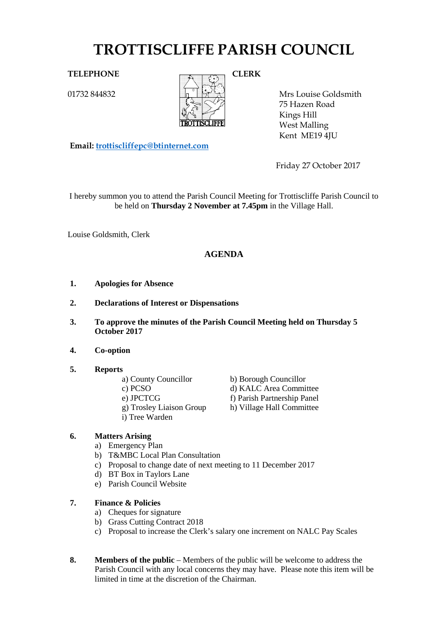# **TROTTISCLIFFE PARISH COUNCIL**

01732 844832



Mrs Louise Goldsmith 75 Hazen Road Kings Hill West Malling Kent ME19 4JU

**Email: [trottiscliffepc@btinternet.com](mailto:trottiscliffepc@btinternet.com)**

Friday 27 October 2017

I hereby summon you to attend the Parish Council Meeting for Trottiscliffe Parish Council to be held on **Thursday 2 November at 7.45pm** in the Village Hall.

Louise Goldsmith, Clerk

# **AGENDA**

- **1. Apologies for Absence**
- **2. Declarations of Interest or Dispensations**
- **3. To approve the minutes of the Parish Council Meeting held on Thursday 5 October 2017**
- **4. Co-option**

## **5. Reports**

- a) County Councillor b) Borough Councillor
- 
- 
- i) Tree Warden

c) PCSO d) KALC Area Committee e) JPCTCG<br>
f) Parish Partnership Panel<br>
g) Trosley Liaison Group<br>
h) Village Hall Committee h) Village Hall Committee

# **6. Matters Arising**

- a) Emergency Plan
- b) T&MBC Local Plan Consultation
- c) Proposal to change date of next meeting to 11 December 2017
- d) BT Box in Taylors Lane
- e) Parish Council Website

# **7. Finance & Policies**

- a) Cheques for signature
- b) Grass Cutting Contract 2018
- c) Proposal to increase the Clerk's salary one increment on NALC Pay Scales
- **8. Members of the public** Members of the public will be welcome to address the Parish Council with any local concerns they may have. Please note this item will be limited in time at the discretion of the Chairman.